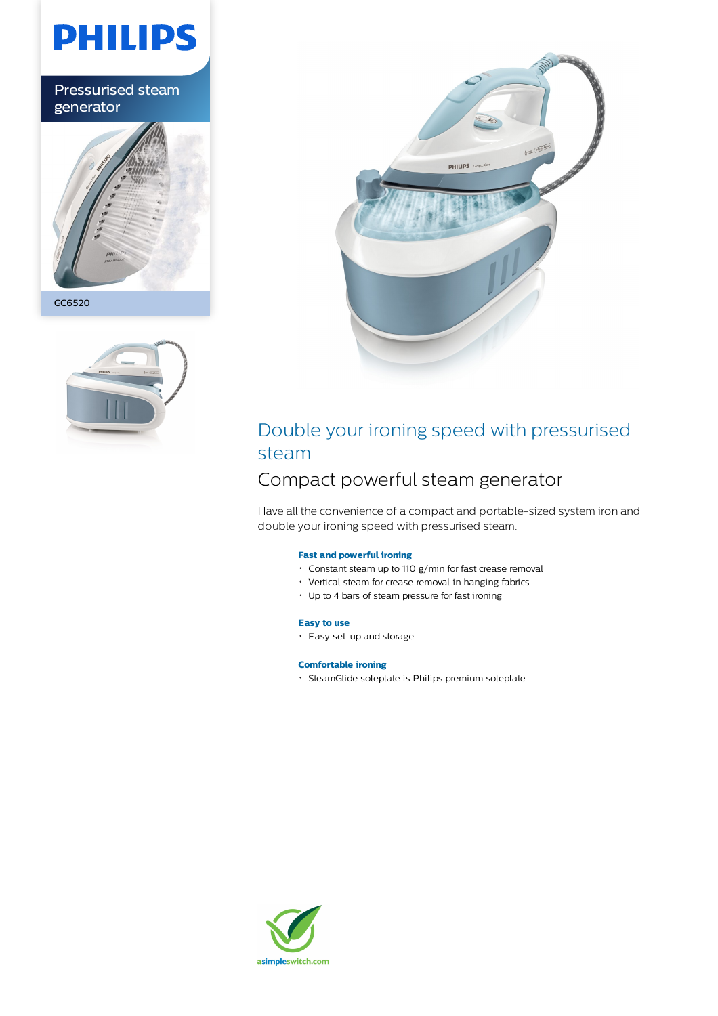# **PHILIPS**

Pressurised steam generator



GC6520





## Double your ironing speed with pressurised steam

## Compact powerful steam generator

Have all the convenience of a compact and portable-sized system iron and double your ironing speed with pressurised steam.

### **Fast and powerful ironing**

- Constant steam up to 110 g/min for fast crease removal
- Vertical steam for crease removal in hanging fabrics
- Up to 4 bars of steam pressure for fast ironing

### **Easy to use**

Easy set-up and storage

### **Comfortable ironing**

SteamGlide soleplate is Philips premium soleplate